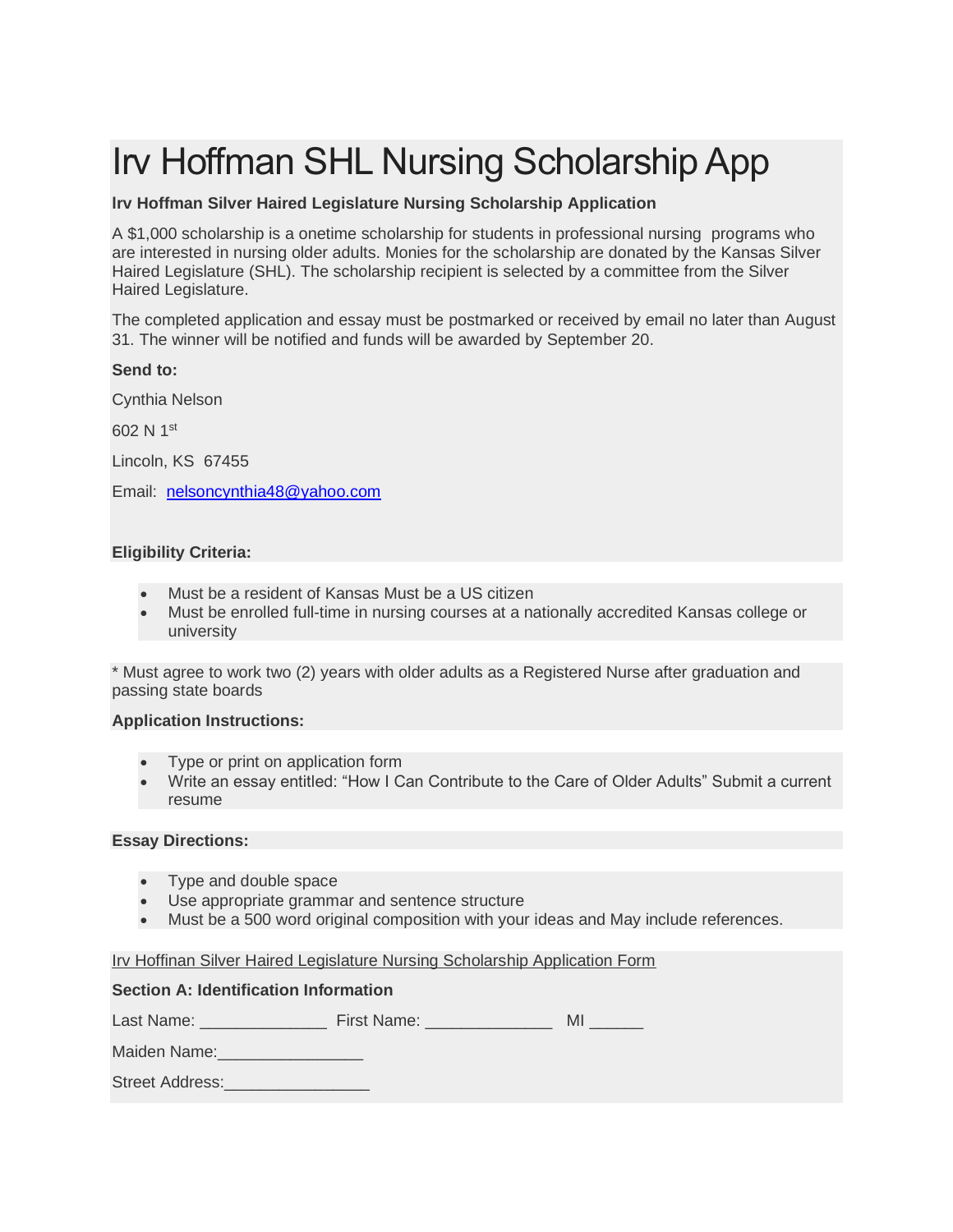# Irv Hoffman SHL Nursing Scholarship App

## **lrv Hoffman Silver Haired Legislature Nursing Scholarship Application**

A \$1,000 scholarship is a onetime scholarship for students in professional nursing programs who are interested in nursing older adults. Monies for the scholarship are donated by the Kansas Silver Haired Legislature (SHL). The scholarship recipient is selected by a committee from the Silver Haired Legislature.

The completed application and essay must be postmarked or received by email no later than August 31. The winner will be notified and funds will be awarded by September 20.

## **Send to:**

Cynthia Nelson

602 N 1st

Lincoln, KS 67455

Email: [nelsoncynthia48@yahoo.com](mailto:nelsoncynthia48@yahoo.com)

## **Eligibility Criteria:**

- Must be a resident of Kansas Must be a US citizen
- Must be enrolled full-time in nursing courses at a nationally accredited Kansas college or university

\* Must agree to work two (2) years with older adults as a Registered Nurse after graduation and passing state boards

#### **Application Instructions:**

- Type or print on application form
- Write an essay entitled: "How I Can Contribute to the Care of Older Adults" Submit a current resume

### **Essay Directions:**

- Type and double space
- Use appropriate grammar and sentence structure
- Must be a 500 word original composition with your ideas and May include references.

#### Irv Hoffinan Silver Haired Legislature Nursing Scholarship Application Form

#### **Section A: Identification Information**

Last Name: etc. Eirst Name: Eirst Name: All

Maiden Name:

Street Address: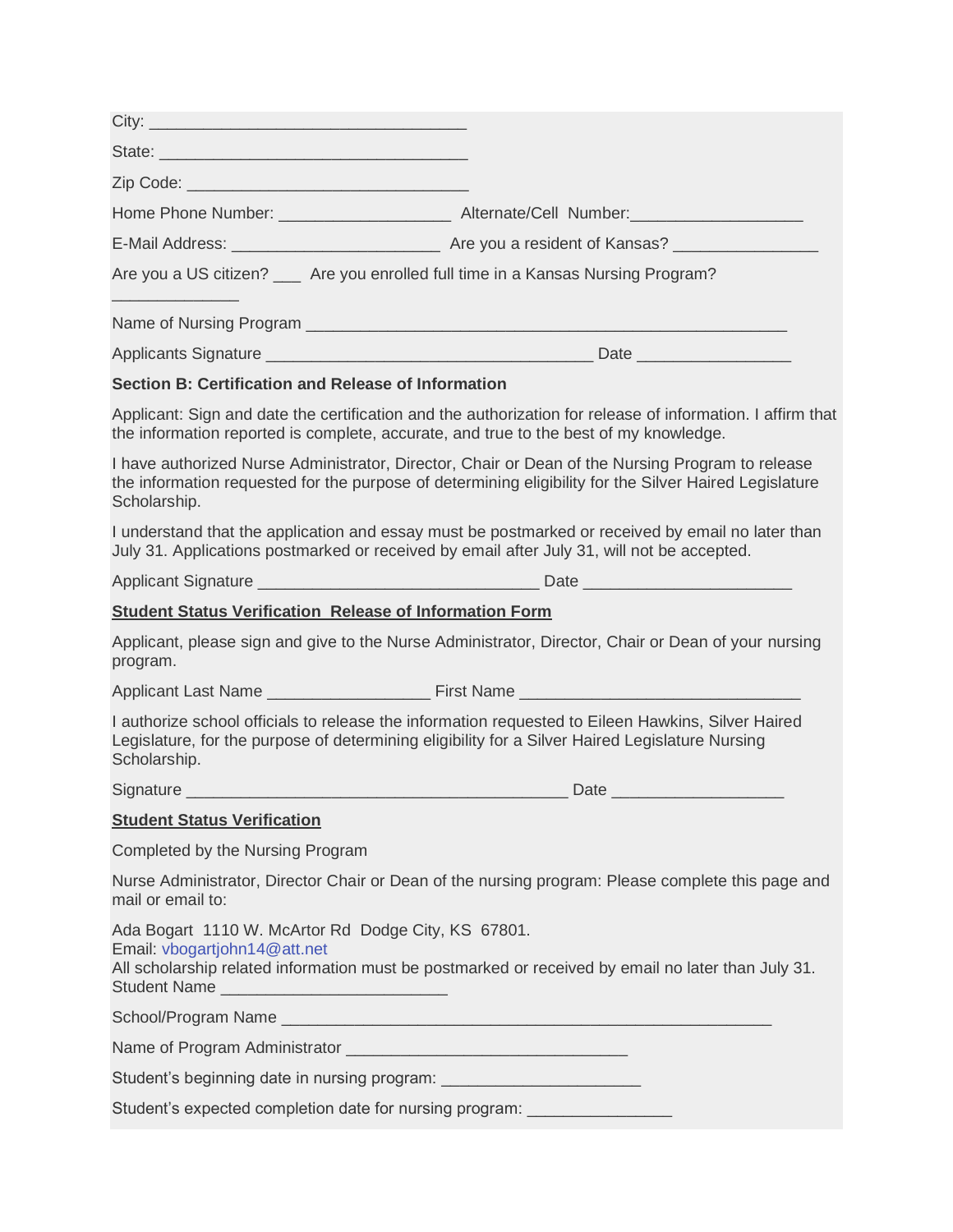| State: <u>2008 - 2009 - 2009 - 2009 - 2009 - 2009 - 2009 - 2009 - 2009 - 2009 - 2009 - 2009 - 2009 - 2009 - 2009 - 2009 - 2009 - 2009 - 2009 - 2009 - 2009 - 2009 - 2009 - 2009 - 2009 - 2009 - 2009 - 2009 - 2009 - 2009 - 2009</u> |                                                                                                                                                                                                            |
|--------------------------------------------------------------------------------------------------------------------------------------------------------------------------------------------------------------------------------------|------------------------------------------------------------------------------------------------------------------------------------------------------------------------------------------------------------|
|                                                                                                                                                                                                                                      |                                                                                                                                                                                                            |
|                                                                                                                                                                                                                                      | Home Phone Number: __________________________ Alternate/Cell_Number:_____________                                                                                                                          |
|                                                                                                                                                                                                                                      |                                                                                                                                                                                                            |
|                                                                                                                                                                                                                                      | Are you a US citizen? __ Are you enrolled full time in a Kansas Nursing Program?                                                                                                                           |
|                                                                                                                                                                                                                                      |                                                                                                                                                                                                            |
|                                                                                                                                                                                                                                      |                                                                                                                                                                                                            |
| Section B: Certification and Release of Information                                                                                                                                                                                  |                                                                                                                                                                                                            |
|                                                                                                                                                                                                                                      | Applicant: Sign and date the certification and the authorization for release of information. I affirm that<br>the information reported is complete, accurate, and true to the best of my knowledge.        |
| Scholarship.                                                                                                                                                                                                                         | I have authorized Nurse Administrator, Director, Chair or Dean of the Nursing Program to release<br>the information requested for the purpose of determining eligibility for the Silver Haired Legislature |
|                                                                                                                                                                                                                                      | I understand that the application and essay must be postmarked or received by email no later than<br>July 31. Applications postmarked or received by email after July 31, will not be accepted.            |
|                                                                                                                                                                                                                                      |                                                                                                                                                                                                            |
| <b>Student Status Verification Release of Information Form</b>                                                                                                                                                                       |                                                                                                                                                                                                            |
| program.                                                                                                                                                                                                                             | Applicant, please sign and give to the Nurse Administrator, Director, Chair or Dean of your nursing                                                                                                        |
|                                                                                                                                                                                                                                      |                                                                                                                                                                                                            |
| Scholarship.                                                                                                                                                                                                                         | I authorize school officials to release the information requested to Eileen Hawkins, Silver Haired<br>Legislature, for the purpose of determining eligibility for a Silver Haired Legislature Nursing      |
|                                                                                                                                                                                                                                      |                                                                                                                                                                                                            |
| <b>Student Status Verification</b>                                                                                                                                                                                                   |                                                                                                                                                                                                            |
| Completed by the Nursing Program                                                                                                                                                                                                     |                                                                                                                                                                                                            |
| mail or email to:                                                                                                                                                                                                                    | Nurse Administrator, Director Chair or Dean of the nursing program: Please complete this page and                                                                                                          |
| Ada Bogart 1110 W. McArtor Rd Dodge City, KS 67801.<br>Email: vbogartjohn14@att.net<br>Student Name ______________________________                                                                                                   | All scholarship related information must be postmarked or received by email no later than July 31.                                                                                                         |
|                                                                                                                                                                                                                                      |                                                                                                                                                                                                            |
|                                                                                                                                                                                                                                      |                                                                                                                                                                                                            |
| Student's beginning date in nursing program: ___________________________________                                                                                                                                                     |                                                                                                                                                                                                            |
| Student's expected completion date for nursing program: ________________________                                                                                                                                                     |                                                                                                                                                                                                            |
|                                                                                                                                                                                                                                      |                                                                                                                                                                                                            |